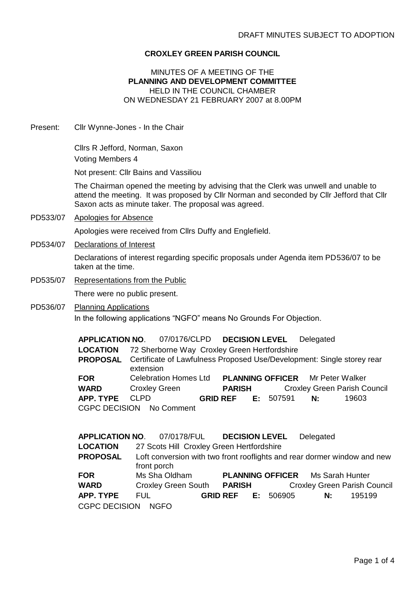## **CROXLEY GREEN PARISH COUNCIL**

## MINUTES OF A MEETING OF THE **PLANNING AND DEVELOPMENT COMMITTEE** HELD IN THE COUNCIL CHAMBER ON WEDNESDAY 21 FEBRUARY 2007 at 8.00PM

Present: Cllr Wynne-Jones - In the Chair

Cllrs R Jefford, Norman, Saxon Voting Members 4

Not present: Cllr Bains and Vassiliou

The Chairman opened the meeting by advising that the Clerk was unwell and unable to attend the meeting. It was proposed by Cllr Norman and seconded by Cllr Jefford that Cllr Saxon acts as minute taker. The proposal was agreed.

PD533/07 Apologies for Absence

Apologies were received from Cllrs Duffy and Englefield.

- PD534/07 Declarations of Interest Declarations of interest regarding specific proposals under Agenda item PD536/07 to be taken at the time.
- PD535/07 Representations from the Public There were no public present.
- PD536/07 Planning Applications In the following applications "NGFO" means No Grounds For Objection.

|             | APPLICATION NO. 07/0176/CLPD DECISION LEVEL Delegated                                               |                           |  |                                         |                                     |
|-------------|-----------------------------------------------------------------------------------------------------|---------------------------|--|-----------------------------------------|-------------------------------------|
|             | <b>LOCATION</b> 72 Sherborne Way Croxley Green Hertfordshire                                        |                           |  |                                         |                                     |
|             | <b>PROPOSAL</b> Certificate of Lawfulness Proposed Use/Development: Single storey rear<br>extension |                           |  |                                         |                                     |
| <b>FOR</b>  | <b>Celebration Homes Ltd</b>                                                                        |                           |  | <b>PLANNING OFFICER</b> Mr Peter Walker |                                     |
| <b>WARD</b> | <b>Croxley Green</b>                                                                                | <b>PARISH</b>             |  |                                         | <b>Croxley Green Parish Council</b> |
| APP. TYPE   | CI PD<br>CGPC DECISION No Comment                                                                   | <b>GRID REF E: 507591</b> |  | N:                                      | 19603                               |
|             |                                                                                                     |                           |  |                                         |                                     |

|                      | APPLICATION NO. 07/0178/FUL DECISION LEVEL |                           | Delegated                                                                |
|----------------------|--------------------------------------------|---------------------------|--------------------------------------------------------------------------|
| <b>LOCATION</b>      | 27 Scots Hill Croxley Green Hertfordshire  |                           |                                                                          |
| <b>PROPOSAL</b>      | front porch                                |                           | Loft conversion with two front rooflights and rear dormer window and new |
| <b>FOR</b>           | Ms Sha Oldham                              |                           | <b>PLANNING OFFICER</b> Ms Sarah Hunter                                  |
| <b>WARD</b>          | Croxley Green South PARISH                 |                           | <b>Croxley Green Parish Council</b>                                      |
| APP. TYPE            | FUL.                                       | <b>GRID REF E: 506905</b> | 195199<br>N:                                                             |
| <b>CGPC DECISION</b> | NGFO                                       |                           |                                                                          |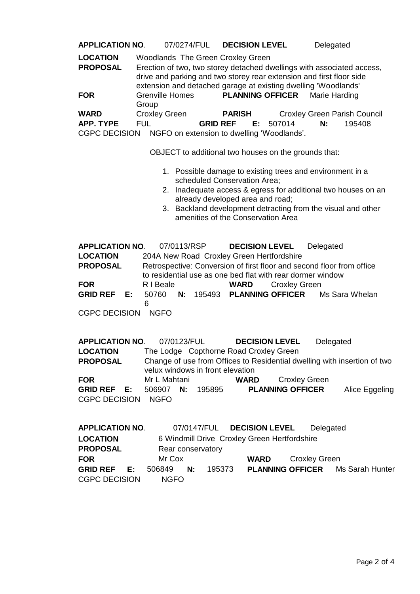**APPLICATION NO**. 07/0274/FUL **DECISION LEVEL** Delegated

**LOCATION** Woodlands The Green Croxley Green

**PROPOSAL** Erection of two, two storey detached dwellings with associated access, drive and parking and two storey rear extension and first floor side extension and detached garage at existing dwelling 'Woodlands' **FOR** Grenville Homes Group **PLANNING OFFICER** Marie Harding **WARD** Croxley Green **PARISH** Croxley Green Parish Council

**APP. TYPE** FUL **GRID REF E:** 507014 **N:** 195408

CGPC DECISION NGFO on extension to dwelling 'Woodlands'.

OBJECT to additional two houses on the grounds that:

- 1. Possible damage to existing trees and environment in a scheduled Conservation Area;
- 2. Inadequate access & egress for additional two houses on an already developed area and road;
- 3. Backland development detracting from the visual and other amenities of the Conservation Area

**APPLICATION NO**. 07/0113/RSP **DECISION LEVEL** Delegated **LOCATION** 204A New Road Croxley Green Hertfordshire **PROPOSAL** Retrospective: Conversion of first floor and second floor from office to residential use as one bed flat with rear dormer window **FOR** R I Beale **WARD** Croxley Green **GRID REF E:** 50760 6 **N:** 195493 **PLANNING OFFICER** Ms Sara Whelan CGPC DECISION NGFO

**APPLICATION NO**. 07/0123/FUL **DECISION LEVEL** Delegated **LOCATION** The Lodge Copthorne Road Croxley Green **PROPOSAL** Change of use from Offices to Residential dwelling with insertion of two velux windows in front elevation **FOR** Mr L Mahtani **WARD** Croxley Green **GRID REF E:** 506907 **N:** 195895 **PLANNING OFFICER** Alice Eggeling CGPC DECISION NGFO

| <b>APPLICATION NO.</b> |                   |                                              |        | 07/0147/FUL DECISION LEVEL | Delegated     |                                         |
|------------------------|-------------------|----------------------------------------------|--------|----------------------------|---------------|-----------------------------------------|
| <b>LOCATION</b>        |                   | 6 Windmill Drive Croxley Green Hertfordshire |        |                            |               |                                         |
| <b>PROPOSAL</b>        | Rear conservatory |                                              |        |                            |               |                                         |
| <b>FOR</b>             | Mr Cox            |                                              |        | <b>WARD</b>                | Croxley Green |                                         |
| <b>GRID REF</b> E:     | 506849            | N:                                           | 195373 |                            |               | <b>PLANNING OFFICER</b> Ms Sarah Hunter |
| <b>CGPC DECISION</b>   | <b>NGFO</b>       |                                              |        |                            |               |                                         |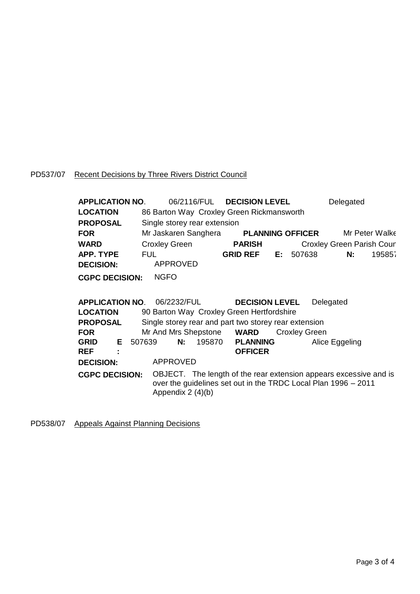## PD537/07 Recent Decisions by Three Rivers District Council

| <b>APPLICATION NO.</b> | 06/2116/FUL DECISION LEVEL                |                 |    |                         | Delegated                        |                |
|------------------------|-------------------------------------------|-----------------|----|-------------------------|----------------------------------|----------------|
| <b>LOCATION</b>        | 86 Barton Way Croxley Green Rickmansworth |                 |    |                         |                                  |                |
| <b>PROPOSAL</b>        | Single storey rear extension              |                 |    |                         |                                  |                |
| <b>FOR</b>             | Mr Jaskaren Sanghera                      |                 |    | <b>PLANNING OFFICER</b> |                                  | Mr Peter Walke |
| <b>WARD</b>            | <b>Croxley Green</b>                      | <b>PARISH</b>   |    |                         | <b>Croxley Green Parish Cour</b> |                |
| <b>APP. TYPE</b>       | <b>FUL</b>                                | <b>GRID REF</b> | E: | 507638                  | N:                               | 195857         |
| <b>DECISION:</b>       | <b>APPROVED</b>                           |                 |    |                         |                                  |                |
| <b>CGPC DECISION:</b>  | <b>NGFO</b>                               |                 |    |                         |                                  |                |

| <b>APPLICATION NO. 06/2232/FUL</b> |        |                   |    |                           | <b>DECISION LEVEL</b>                                 |                      | Delegated                                                                                                                           |
|------------------------------------|--------|-------------------|----|---------------------------|-------------------------------------------------------|----------------------|-------------------------------------------------------------------------------------------------------------------------------------|
| <b>LOCATION</b>                    |        |                   |    |                           | 90 Barton Way Croxley Green Hertfordshire             |                      |                                                                                                                                     |
| <b>PROPOSAL</b>                    |        |                   |    |                           | Single storey rear and part two storey rear extension |                      |                                                                                                                                     |
| <b>FOR</b>                         |        |                   |    | Mr And Mrs Shepstone WARD |                                                       | <b>Croxley Green</b> |                                                                                                                                     |
| $E$ $\rightarrow$<br><b>GRID</b>   | 507639 |                   | N: |                           | 195870 PLANNING                                       |                      | Alice Eggeling                                                                                                                      |
| <b>REF</b><br>÷                    |        |                   |    |                           | <b>OFFICER</b>                                        |                      |                                                                                                                                     |
| <b>DECISION:</b>                   |        | APPROVED          |    |                           |                                                       |                      |                                                                                                                                     |
| <b>CGPC DECISION:</b>              |        | Appendix 2 (4)(b) |    |                           |                                                       |                      | OBJECT. The length of the rear extension appears excessive and is<br>over the guidelines set out in the TRDC Local Plan 1996 - 2011 |

PD538/07 Appeals Against Planning Decisions